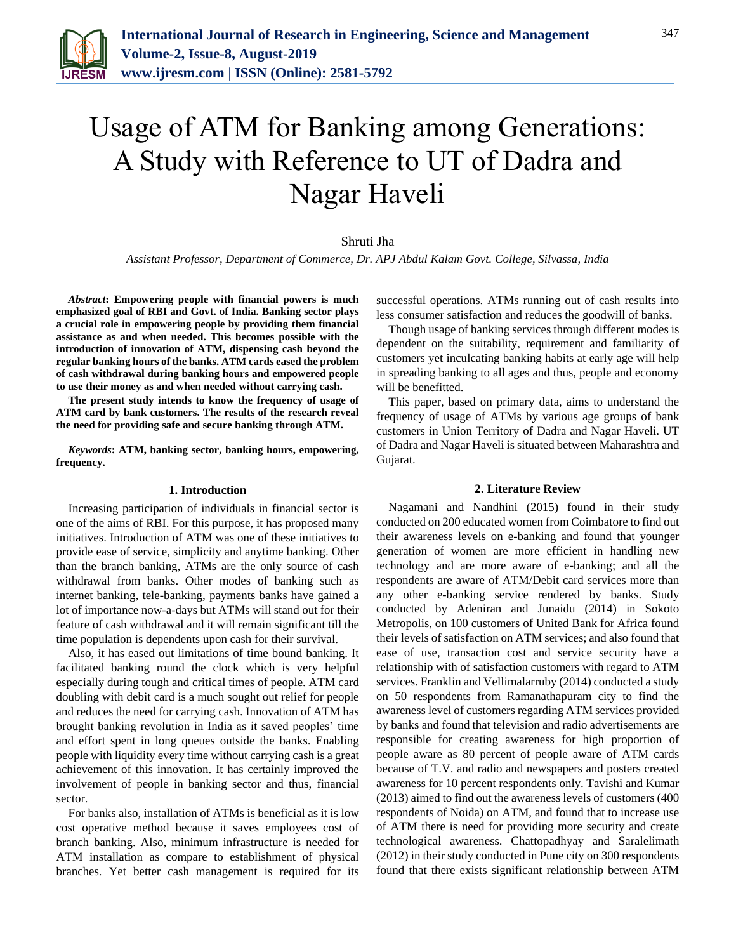

# Usage of ATM for Banking among Generations: A Study with Reference to UT of Dadra and Nagar Haveli

#### Shruti Jha

*Assistant Professor, Department of Commerce, Dr. APJ Abdul Kalam Govt. College, Silvassa, India*

*Abstract***: Empowering people with financial powers is much emphasized goal of RBI and Govt. of India. Banking sector plays a crucial role in empowering people by providing them financial assistance as and when needed. This becomes possible with the introduction of innovation of ATM, dispensing cash beyond the regular banking hours of the banks. ATM cards eased the problem of cash withdrawal during banking hours and empowered people to use their money as and when needed without carrying cash.** 

**The present study intends to know the frequency of usage of ATM card by bank customers. The results of the research reveal the need for providing safe and secure banking through ATM.**

*Keywords***: ATM, banking sector, banking hours, empowering, frequency.**

#### **1. Introduction**

Increasing participation of individuals in financial sector is one of the aims of RBI. For this purpose, it has proposed many initiatives. Introduction of ATM was one of these initiatives to provide ease of service, simplicity and anytime banking. Other than the branch banking, ATMs are the only source of cash withdrawal from banks. Other modes of banking such as internet banking, tele-banking, payments banks have gained a lot of importance now-a-days but ATMs will stand out for their feature of cash withdrawal and it will remain significant till the time population is dependents upon cash for their survival.

Also, it has eased out limitations of time bound banking. It facilitated banking round the clock which is very helpful especially during tough and critical times of people. ATM card doubling with debit card is a much sought out relief for people and reduces the need for carrying cash. Innovation of ATM has brought banking revolution in India as it saved peoples' time and effort spent in long queues outside the banks. Enabling people with liquidity every time without carrying cash is a great achievement of this innovation. It has certainly improved the involvement of people in banking sector and thus, financial sector.

For banks also, installation of ATMs is beneficial as it is low cost operative method because it saves employees cost of branch banking. Also, minimum infrastructure is needed for ATM installation as compare to establishment of physical branches. Yet better cash management is required for its successful operations. ATMs running out of cash results into less consumer satisfaction and reduces the goodwill of banks.

Though usage of banking services through different modes is dependent on the suitability, requirement and familiarity of customers yet inculcating banking habits at early age will help in spreading banking to all ages and thus, people and economy will be benefitted.

This paper, based on primary data, aims to understand the frequency of usage of ATMs by various age groups of bank customers in Union Territory of Dadra and Nagar Haveli. UT of Dadra and Nagar Haveli is situated between Maharashtra and Gujarat.

#### **2. Literature Review**

Nagamani and Nandhini (2015) found in their study conducted on 200 educated women from Coimbatore to find out their awareness levels on e-banking and found that younger generation of women are more efficient in handling new technology and are more aware of e-banking; and all the respondents are aware of ATM/Debit card services more than any other e-banking service rendered by banks. Study conducted by Adeniran and Junaidu (2014) in Sokoto Metropolis, on 100 customers of United Bank for Africa found their levels of satisfaction on ATM services; and also found that ease of use, transaction cost and service security have a relationship with of satisfaction customers with regard to ATM services. Franklin and Vellimalarruby (2014) conducted a study on 50 respondents from Ramanathapuram city to find the awareness level of customers regarding ATM services provided by banks and found that television and radio advertisements are responsible for creating awareness for high proportion of people aware as 80 percent of people aware of ATM cards because of T.V. and radio and newspapers and posters created awareness for 10 percent respondents only. Tavishi and Kumar (2013) aimed to find out the awareness levels of customers (400 respondents of Noida) on ATM, and found that to increase use of ATM there is need for providing more security and create technological awareness. Chattopadhyay and Saralelimath (2012) in their study conducted in Pune city on 300 respondents found that there exists significant relationship between ATM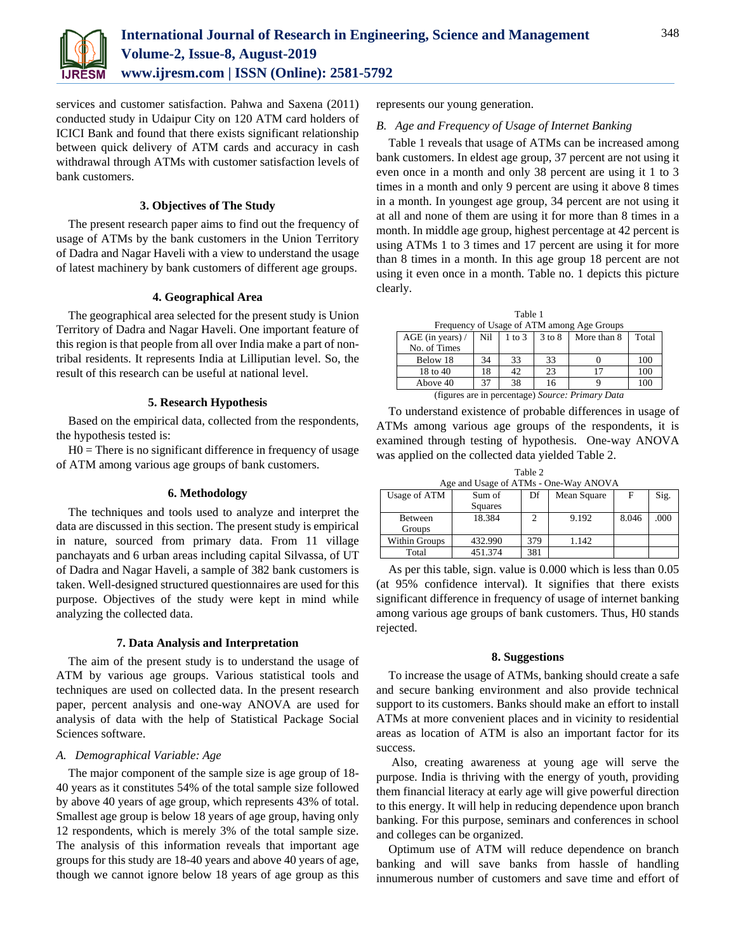

services and customer satisfaction. Pahwa and Saxena (2011) conducted study in Udaipur City on 120 ATM card holders of ICICI Bank and found that there exists significant relationship between quick delivery of ATM cards and accuracy in cash withdrawal through ATMs with customer satisfaction levels of bank customers.

## **3. Objectives of The Study**

The present research paper aims to find out the frequency of usage of ATMs by the bank customers in the Union Territory of Dadra and Nagar Haveli with a view to understand the usage of latest machinery by bank customers of different age groups.

# **4. Geographical Area**

The geographical area selected for the present study is Union Territory of Dadra and Nagar Haveli. One important feature of this region is that people from all over India make a part of nontribal residents. It represents India at Lilliputian level. So, the result of this research can be useful at national level.

# **5. Research Hypothesis**

Based on the empirical data, collected from the respondents, the hypothesis tested is:

 $H0 =$ There is no significant difference in frequency of usage of ATM among various age groups of bank customers.

## **6. Methodology**

The techniques and tools used to analyze and interpret the data are discussed in this section. The present study is empirical in nature, sourced from primary data. From 11 village panchayats and 6 urban areas including capital Silvassa, of UT of Dadra and Nagar Haveli, a sample of 382 bank customers is taken. Well-designed structured questionnaires are used for this purpose. Objectives of the study were kept in mind while analyzing the collected data.

#### **7. Data Analysis and Interpretation**

The aim of the present study is to understand the usage of ATM by various age groups. Various statistical tools and techniques are used on collected data. In the present research paper, percent analysis and one-way ANOVA are used for analysis of data with the help of Statistical Package Social Sciences software.

## *A. Demographical Variable: Age*

The major component of the sample size is age group of 18- 40 years as it constitutes 54% of the total sample size followed by above 40 years of age group, which represents 43% of total. Smallest age group is below 18 years of age group, having only 12 respondents, which is merely 3% of the total sample size. The analysis of this information reveals that important age groups for this study are 18-40 years and above 40 years of age, though we cannot ignore below 18 years of age group as this

represents our young generation.

## *B. Age and Frequency of Usage of Internet Banking*

Table 1 reveals that usage of ATMs can be increased among bank customers. In eldest age group, 37 percent are not using it even once in a month and only 38 percent are using it 1 to 3 times in a month and only 9 percent are using it above 8 times in a month. In youngest age group, 34 percent are not using it at all and none of them are using it for more than 8 times in a month. In middle age group, highest percentage at 42 percent is using ATMs 1 to 3 times and 17 percent are using it for more than 8 times in a month. In this age group 18 percent are not using it even once in a month. Table no. 1 depicts this picture clearly.

Table 1 Frequency of Usage of ATM among Age Groups

| 11 cuacht i<br>of oxage of <i>IXII</i> VI among <i>IXI</i> <sub>2</sub> Stoups |     |            |            |             |       |  |  |  |  |
|--------------------------------------------------------------------------------|-----|------------|------------|-------------|-------|--|--|--|--|
| $AGE$ (in years) /                                                             | Nil | $1$ to $3$ | $3$ to $8$ | More than 8 | Total |  |  |  |  |
| No. of Times                                                                   |     |            |            |             |       |  |  |  |  |
| Below 18                                                                       | 34  | 33         | 33         |             | 100   |  |  |  |  |
| 18 to 40                                                                       | 18  | 42         | 23         |             | 100   |  |  |  |  |
| Above 40                                                                       | 37  | 38         | 16         |             | 100   |  |  |  |  |
| (figures are in percentage) Source: Primary Data                               |     |            |            |             |       |  |  |  |  |

To understand existence of probable differences in usage of ATMs among various age groups of the respondents, it is examined through testing of hypothesis. One-way ANOVA was applied on the collected data yielded Table 2.

Table 2 Age and Usage of ATMs - One-Way ANOVA

| Usage of ATM      | Sum of<br><b>Squares</b> | Df  | Mean Square |       | Sig. |
|-------------------|--------------------------|-----|-------------|-------|------|
| Between<br>Groups | 18.384                   |     | 9.192       | 8.046 | .000 |
| Within Groups     | 432.990                  | 379 | 1.142       |       |      |
| Total             | 451.374                  | 381 |             |       |      |

As per this table, sign. value is 0.000 which is less than 0.05 (at 95% confidence interval). It signifies that there exists significant difference in frequency of usage of internet banking among various age groups of bank customers. Thus, H0 stands rejected.

#### **8. Suggestions**

To increase the usage of ATMs, banking should create a safe and secure banking environment and also provide technical support to its customers. Banks should make an effort to install ATMs at more convenient places and in vicinity to residential areas as location of ATM is also an important factor for its success.

Also, creating awareness at young age will serve the purpose. India is thriving with the energy of youth, providing them financial literacy at early age will give powerful direction to this energy. It will help in reducing dependence upon branch banking. For this purpose, seminars and conferences in school and colleges can be organized.

Optimum use of ATM will reduce dependence on branch banking and will save banks from hassle of handling innumerous number of customers and save time and effort of